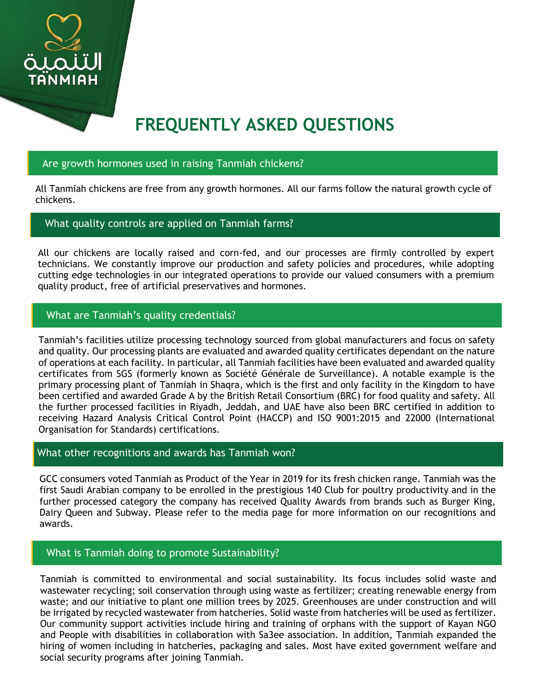

# **FREQUENTLY ASKED QUESTIONS**

## Are growth hormones used in raising Tanmiah chickens?

All Tanmiah chickens are free from any growth hormones. All our farms follow the natural growth cycle of chickens.

## What quality controls are applied on Tanmiah farms?

All our chickens are locally raised and corn-fed, and our processes are firmly controlled by expert technicians. We constantly improve our production and safety policies and procedures, while adopting cutting edge technologies in our integrated operations to provide our valued consumers with a premium quality product, free of artificial preservatives and hormones.

## What are Tanmiah's quality credentials?

Tanmiah's facilities utilize processing technology sourced from global manufacturers and focus on safety and quality. Our processing plants are evaluated and awarded quality certificates dependant on the nature of operations at each facility. In particular, all Tanmiah facilities have been evaluated and awarded quality certificates from SGS (formerly known as Société Générale de Surveillance). A notable example is the primary processing plant of Tanmiah in Shaqra, which is the first and only facility in the Kingdom to have been certified and awarded Grade A by the British Retail Consortium (BRC) for food quality and safety. All the further processed facilities in Riyadh, Jeddah, and UAE have also been BRC certified in addition to receiving Hazard Analysis Critical Control Point (HACCP) and ISO 9001:2015 and 22000 (International Organisation for Standards) certifications.

#### What other recognitions and awards has Tanmiah won?

GCC consumers voted Tanmiah as Product of the Year in 2019 for its fresh chicken range. Tanmiah was the first Saudi Arabian company to be enrolled in the prestigious 140 Club for poultry productivity and in the further processed category the company has received Quality Awards from brands such as Burger King, Dairy Queen and Subway. Please refer to the media page for more information on our recognitions and awards.

#### What is Tanmiah doing to promote Sustainability?

Tanmiah is committed to environmental and social sustainability. Its focus includes solid waste and wastewater recycling; soil conservation through using waste as fertilizer; creating renewable energy from waste; and our initiative to plant one million trees by 2025. Greenhouses are under construction and will be irrigated by recycled wastewater from hatcheries. Solid waste from hatcheries will be used as fertilizer. Our community support activities include hiring and training of orphans with the support of Kayan NGO and People with disabilities in collaboration with Sa3ee association. In addition, Tanmiah expanded the hiring of women including in hatcheries, packaging and sales. Most have exited government welfare and social security programs after joining Tanmiah.